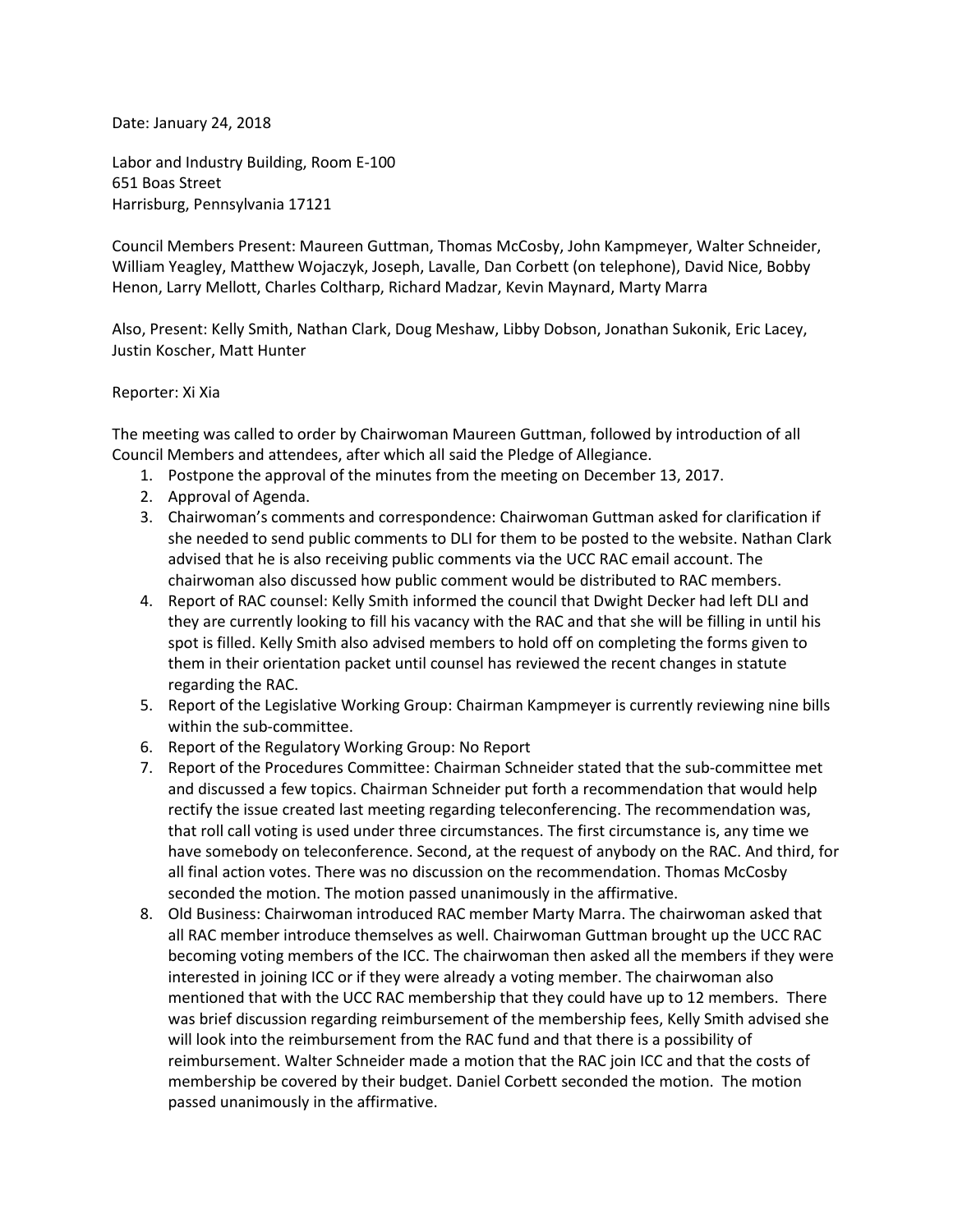Date: January 24, 2018

Labor and Industry Building, Room E-100 651 Boas Street Harrisburg, Pennsylvania 17121

Council Members Present: Maureen Guttman, Thomas McCosby, John Kampmeyer, Walter Schneider, William Yeagley, Matthew Wojaczyk, Joseph, Lavalle, Dan Corbett (on telephone), David Nice, Bobby Henon, Larry Mellott, Charles Coltharp, Richard Madzar, Kevin Maynard, Marty Marra

Also, Present: Kelly Smith, Nathan Clark, Doug Meshaw, Libby Dobson, Jonathan Sukonik, Eric Lacey, Justin Koscher, Matt Hunter

## Reporter: Xi Xia

The meeting was called to order by Chairwoman Maureen Guttman, followed by introduction of all Council Members and attendees, after which all said the Pledge of Allegiance.

- 1. Postpone the approval of the minutes from the meeting on December 13, 2017.
- 2. Approval of Agenda.
- 3. Chairwoman's comments and correspondence: Chairwoman Guttman asked for clarification if she needed to send public comments to DLI for them to be posted to the website. Nathan Clark advised that he is also receiving public comments via the UCC RAC email account. The chairwoman also discussed how public comment would be distributed to RAC members.
- 4. Report of RAC counsel: Kelly Smith informed the council that Dwight Decker had left DLI and they are currently looking to fill his vacancy with the RAC and that she will be filling in until his spot is filled. Kelly Smith also advised members to hold off on completing the forms given to them in their orientation packet until counsel has reviewed the recent changes in statute regarding the RAC.
- 5. Report of the Legislative Working Group: Chairman Kampmeyer is currently reviewing nine bills within the sub-committee.
- 6. Report of the Regulatory Working Group: No Report
- 7. Report of the Procedures Committee: Chairman Schneider stated that the sub-committee met and discussed a few topics. Chairman Schneider put forth a recommendation that would help rectify the issue created last meeting regarding teleconferencing. The recommendation was, that roll call voting is used under three circumstances. The first circumstance is, any time we have somebody on teleconference. Second, at the request of anybody on the RAC. And third, for all final action votes. There was no discussion on the recommendation. Thomas McCosby seconded the motion. The motion passed unanimously in the affirmative.
- 8. Old Business: Chairwoman introduced RAC member Marty Marra. The chairwoman asked that all RAC member introduce themselves as well. Chairwoman Guttman brought up the UCC RAC becoming voting members of the ICC. The chairwoman then asked all the members if they were interested in joining ICC or if they were already a voting member. The chairwoman also mentioned that with the UCC RAC membership that they could have up to 12 members. There was brief discussion regarding reimbursement of the membership fees, Kelly Smith advised she will look into the reimbursement from the RAC fund and that there is a possibility of reimbursement. Walter Schneider made a motion that the RAC join ICC and that the costs of membership be covered by their budget. Daniel Corbett seconded the motion. The motion passed unanimously in the affirmative.